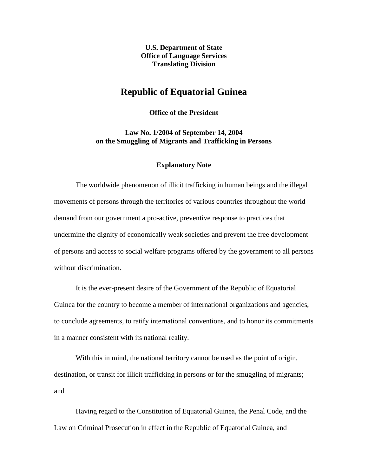**U.S. Department of State Office of Language Services Translating Division**

## **Republic of Equatorial Guinea**

**Office of the President**

**Law No. 1/2004 of September 14, 2004 on the Smuggling of Migrants and Trafficking in Persons**

## **Explanatory Note**

The worldwide phenomenon of illicit trafficking in human beings and the illegal movements of persons through the territories of various countries throughout the world demand from our government a pro-active, preventive response to practices that undermine the dignity of economically weak societies and prevent the free development of persons and access to social welfare programs offered by the government to all persons without discrimination.

It is the ever-present desire of the Government of the Republic of Equatorial Guinea for the country to become a member of international organizations and agencies, to conclude agreements, to ratify international conventions, and to honor its commitments in a manner consistent with its national reality.

With this in mind, the national territory cannot be used as the point of origin, destination, or transit for illicit trafficking in persons or for the smuggling of migrants; and

Having regard to the Constitution of Equatorial Guinea, the Penal Code, and the Law on Criminal Prosecution in effect in the Republic of Equatorial Guinea, and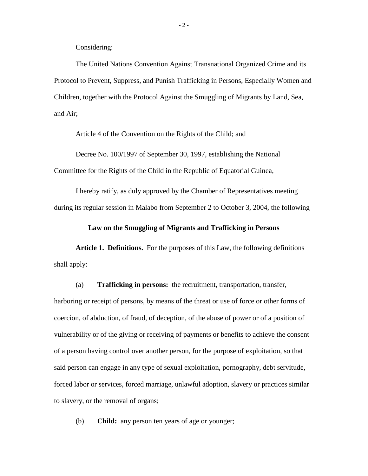Considering:

The United Nations Convention Against Transnational Organized Crime and its Protocol to Prevent, Suppress, and Punish Trafficking in Persons, Especially Women and Children, together with the Protocol Against the Smuggling of Migrants by Land, Sea, and Air;

Article 4 of the Convention on the Rights of the Child; and

Decree No. 100/1997 of September 30, 1997, establishing the National Committee for the Rights of the Child in the Republic of Equatorial Guinea,

I hereby ratify, as duly approved by the Chamber of Representatives meeting during its regular session in Malabo from September 2 to October 3, 2004, the following

**Law on the Smuggling of Migrants and Trafficking in Persons**

**Article 1. Definitions.** For the purposes of this Law, the following definitions shall apply:

(a) **Trafficking in persons:** the recruitment, transportation, transfer, harboring or receipt of persons, by means of the threat or use of force or other forms of coercion, of abduction, of fraud, of deception, of the abuse of power or of a position of vulnerability or of the giving or receiving of payments or benefits to achieve the consent of a person having control over another person, for the purpose of exploitation, so that said person can engage in any type of sexual exploitation, pornography, debt servitude, forced labor or services, forced marriage, unlawful adoption, slavery or practices similar to slavery, or the removal of organs;

(b) **Child:** any person ten years of age or younger;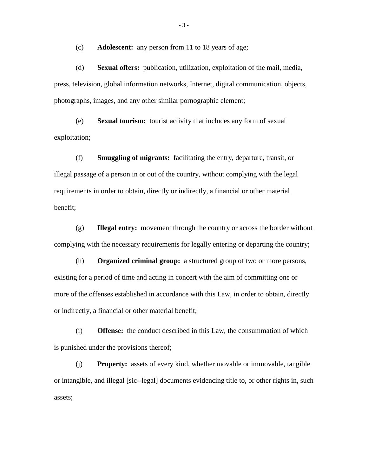(c) **Adolescent:** any person from 11 to 18 years of age;

(d) **Sexual offers:** publication, utilization, exploitation of the mail, media, press, television, global information networks, Internet, digital communication, objects, photographs, images, and any other similar pornographic element;

(e) **Sexual tourism:** tourist activity that includes any form of sexual exploitation;

(f) **Smuggling of migrants:** facilitating the entry, departure, transit, or illegal passage of a person in or out of the country, without complying with the legal requirements in order to obtain, directly or indirectly, a financial or other material benefit;

(g) **Illegal entry:** movement through the country or across the border without complying with the necessary requirements for legally entering or departing the country;

(h) **Organized criminal group:** a structured group of two or more persons, existing for a period of time and acting in concert with the aim of committing one or more of the offenses established in accordance with this Law, in order to obtain, directly or indirectly, a financial or other material benefit;

(i) **Offense:** the conduct described in this Law, the consummation of which is punished under the provisions thereof;

(j) **Property:** assets of every kind, whether movable or immovable, tangible or intangible, and illegal [sic--legal] documents evidencing title to, or other rights in, such assets;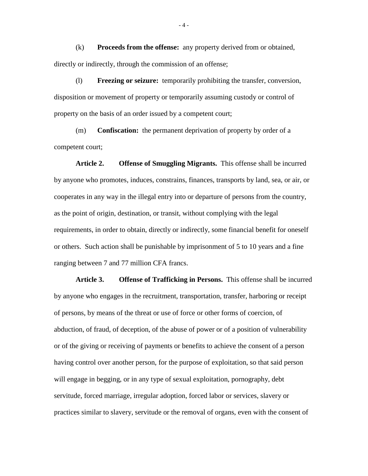(k) **Proceeds from the offense:** any property derived from or obtained, directly or indirectly, through the commission of an offense;

(l) **Freezing or seizure:** temporarily prohibiting the transfer, conversion, disposition or movement of property or temporarily assuming custody or control of property on the basis of an order issued by a competent court;

(m) **Confiscation:** the permanent deprivation of property by order of a competent court;

**Article 2. Offense of Smuggling Migrants.** This offense shall be incurred by anyone who promotes, induces, constrains, finances, transports by land, sea, or air, or cooperates in any way in the illegal entry into or departure of persons from the country, as the point of origin, destination, or transit, without complying with the legal requirements, in order to obtain, directly or indirectly, some financial benefit for oneself or others. Such action shall be punishable by imprisonment of 5 to 10 years and a fine ranging between 7 and 77 million CFA francs.

**Article 3. Offense of Trafficking in Persons.** This offense shall be incurred by anyone who engages in the recruitment, transportation, transfer, harboring or receipt of persons, by means of the threat or use of force or other forms of coercion, of abduction, of fraud, of deception, of the abuse of power or of a position of vulnerability or of the giving or receiving of payments or benefits to achieve the consent of a person having control over another person, for the purpose of exploitation, so that said person will engage in begging, or in any type of sexual exploitation, pornography, debt servitude, forced marriage, irregular adoption, forced labor or services, slavery or practices similar to slavery, servitude or the removal of organs, even with the consent of

- 4 -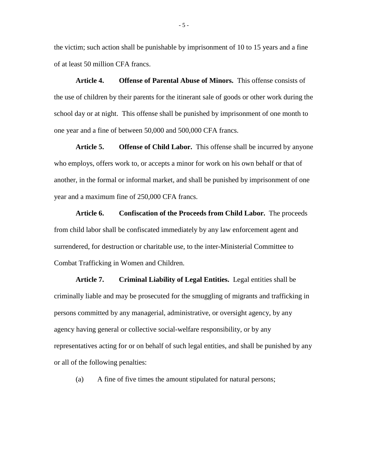the victim; such action shall be punishable by imprisonment of 10 to 15 years and a fine of at least 50 million CFA francs.

**Article 4. Offense of Parental Abuse of Minors.** This offense consists of the use of children by their parents for the itinerant sale of goods or other work during the school day or at night. This offense shall be punished by imprisonment of one month to one year and a fine of between 50,000 and 500,000 CFA francs.

**Article 5. Offense of Child Labor.** This offense shall be incurred by anyone who employs, offers work to, or accepts a minor for work on his own behalf or that of another, in the formal or informal market, and shall be punished by imprisonment of one year and a maximum fine of 250,000 CFA francs.

**Article 6. Confiscation of the Proceeds from Child Labor.** The proceeds from child labor shall be confiscated immediately by any law enforcement agent and surrendered, for destruction or charitable use, to the inter-Ministerial Committee to Combat Trafficking in Women and Children.

**Article 7. Criminal Liability of Legal Entities.** Legal entities shall be criminally liable and may be prosecuted for the smuggling of migrants and trafficking in persons committed by any managerial, administrative, or oversight agency, by any agency having general or collective social-welfare responsibility, or by any representatives acting for or on behalf of such legal entities, and shall be punished by any or all of the following penalties:

(a) A fine of five times the amount stipulated for natural persons;

- 5 -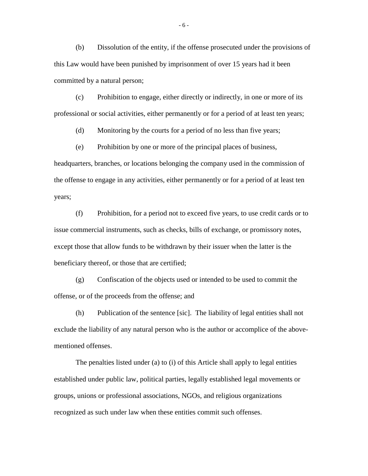(b) Dissolution of the entity, if the offense prosecuted under the provisions of this Law would have been punished by imprisonment of over 15 years had it been committed by a natural person;

(c) Prohibition to engage, either directly or indirectly, in one or more of its professional or social activities, either permanently or for a period of at least ten years;

(d) Monitoring by the courts for a period of no less than five years;

(e) Prohibition by one or more of the principal places of business, headquarters, branches, or locations belonging the company used in the commission of the offense to engage in any activities, either permanently or for a period of at least ten years;

(f) Prohibition, for a period not to exceed five years, to use credit cards or to issue commercial instruments, such as checks, bills of exchange, or promissory notes, except those that allow funds to be withdrawn by their issuer when the latter is the beneficiary thereof, or those that are certified;

(g) Confiscation of the objects used or intended to be used to commit the offense, or of the proceeds from the offense; and

(h) Publication of the sentence [sic]. The liability of legal entities shall not exclude the liability of any natural person who is the author or accomplice of the abovementioned offenses.

The penalties listed under (a) to (i) of this Article shall apply to legal entities established under public law, political parties, legally established legal movements or groups, unions or professional associations, NGOs, and religious organizations recognized as such under law when these entities commit such offenses.

- 6 -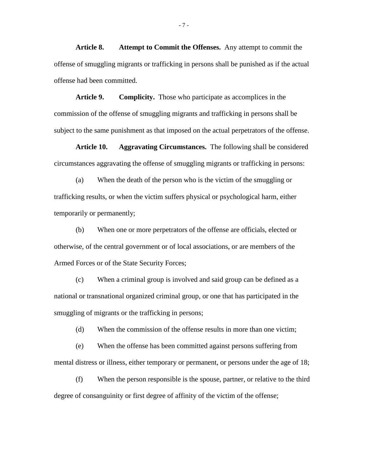**Article 8. Attempt to Commit the Offenses.** Any attempt to commit the offense of smuggling migrants or trafficking in persons shall be punished as if the actual offense had been committed.

**Article 9. Complicity.** Those who participate as accomplices in the commission of the offense of smuggling migrants and trafficking in persons shall be subject to the same punishment as that imposed on the actual perpetrators of the offense.

**Article 10. Aggravating Circumstances.** The following shall be considered circumstances aggravating the offense of smuggling migrants or trafficking in persons:

(a) When the death of the person who is the victim of the smuggling or trafficking results, or when the victim suffers physical or psychological harm, either temporarily or permanently;

(b) When one or more perpetrators of the offense are officials, elected or otherwise, of the central government or of local associations, or are members of the Armed Forces or of the State Security Forces;

(c) When a criminal group is involved and said group can be defined as a national or transnational organized criminal group, or one that has participated in the smuggling of migrants or the trafficking in persons;

(d) When the commission of the offense results in more than one victim;

(e) When the offense has been committed against persons suffering from mental distress or illness, either temporary or permanent, or persons under the age of 18;

(f) When the person responsible is the spouse, partner, or relative to the third degree of consanguinity or first degree of affinity of the victim of the offense;

- 7 -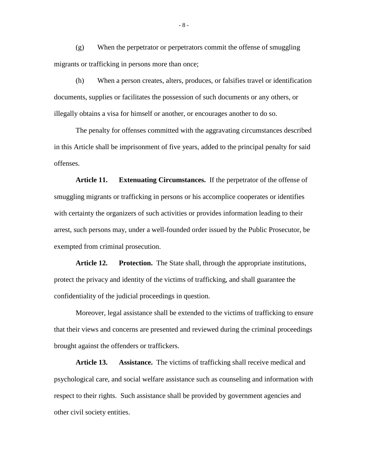(g) When the perpetrator or perpetrators commit the offense of smuggling migrants or trafficking in persons more than once;

(h) When a person creates, alters, produces, or falsifies travel or identification documents, supplies or facilitates the possession of such documents or any others, or illegally obtains a visa for himself or another, or encourages another to do so.

The penalty for offenses committed with the aggravating circumstances described in this Article shall be imprisonment of five years, added to the principal penalty for said offenses.

**Article 11. Extenuating Circumstances.** If the perpetrator of the offense of smuggling migrants or trafficking in persons or his accomplice cooperates or identifies with certainty the organizers of such activities or provides information leading to their arrest, such persons may, under a well-founded order issued by the Public Prosecutor, be exempted from criminal prosecution.

**Article 12. Protection.** The State shall, through the appropriate institutions, protect the privacy and identity of the victims of trafficking, and shall guarantee the confidentiality of the judicial proceedings in question.

Moreover, legal assistance shall be extended to the victims of trafficking to ensure that their views and concerns are presented and reviewed during the criminal proceedings brought against the offenders or traffickers.

**Article 13. Assistance.** The victims of trafficking shall receive medical and psychological care, and social welfare assistance such as counseling and information with respect to their rights. Such assistance shall be provided by government agencies and other civil society entities.

- 8 -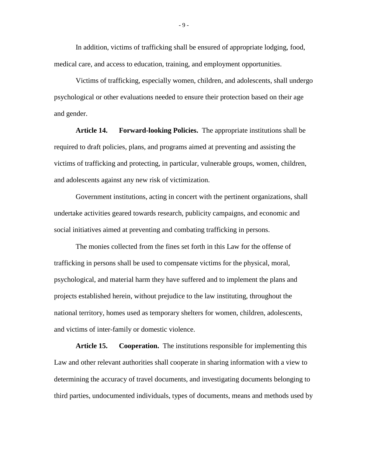In addition, victims of trafficking shall be ensured of appropriate lodging, food, medical care, and access to education, training, and employment opportunities.

Victims of trafficking, especially women, children, and adolescents, shall undergo psychological or other evaluations needed to ensure their protection based on their age and gender.

**Article 14. Forward-looking Policies.** The appropriate institutions shall be required to draft policies, plans, and programs aimed at preventing and assisting the victims of trafficking and protecting, in particular, vulnerable groups, women, children, and adolescents against any new risk of victimization.

Government institutions, acting in concert with the pertinent organizations, shall undertake activities geared towards research, publicity campaigns, and economic and social initiatives aimed at preventing and combating trafficking in persons.

The monies collected from the fines set forth in this Law for the offense of trafficking in persons shall be used to compensate victims for the physical, moral, psychological, and material harm they have suffered and to implement the plans and projects established herein, without prejudice to the law instituting, throughout the national territory, homes used as temporary shelters for women, children, adolescents, and victims of inter-family or domestic violence.

**Article 15. Cooperation.** The institutions responsible for implementing this Law and other relevant authorities shall cooperate in sharing information with a view to determining the accuracy of travel documents, and investigating documents belonging to third parties, undocumented individuals, types of documents, means and methods used by

- 9 -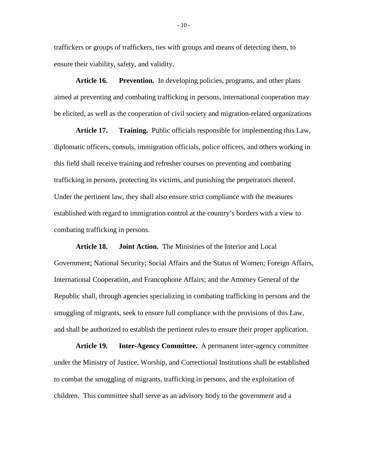traffickers or groups of traffickers, ties with groups and means of detecting them, to ensure their viability, safety, and validity.

**Article 16. Prevention.** In developing policies, programs, and other plans aimed at preventing and combating trafficking in persons, international cooperation may be elicited, as well as the cooperation of civil society and migration-related organizations

**Article 17. Training.** Public officials responsible for implementing this Law, diplomatic officers, consuls, immigration officials, police officers, and others working in this field shall receive training and refresher courses on preventing and combating trafficking in persons, protecting its victims, and punishing the perpetrators thereof. Under the pertinent law, they shall also ensure strict compliance with the measures established with regard to immigration control at the country's borders with a view to combating trafficking in persons.

**Article 18. Joint Action.** The Ministries of the Interior and Local Government; National Security; Social Affairs and the Status of Women; Foreign Affairs, International Cooperation, and Francophone Affairs; and the Attorney General of the Republic shall, through agencies specializing in combating trafficking in persons and the smuggling of migrants, seek to ensure full compliance with the provisions of this Law, and shall be authorized to establish the pertinent rules to ensure their proper application.

**Article 19. Inter-Agency Committee.** A permanent inter-agency committee under the Ministry of Justice, Worship, and Correctional Institutions shall be established to combat the smuggling of migrants, trafficking in persons, and the exploitation of children. This committee shall serve as an advisory body to the government and a

- 10 -